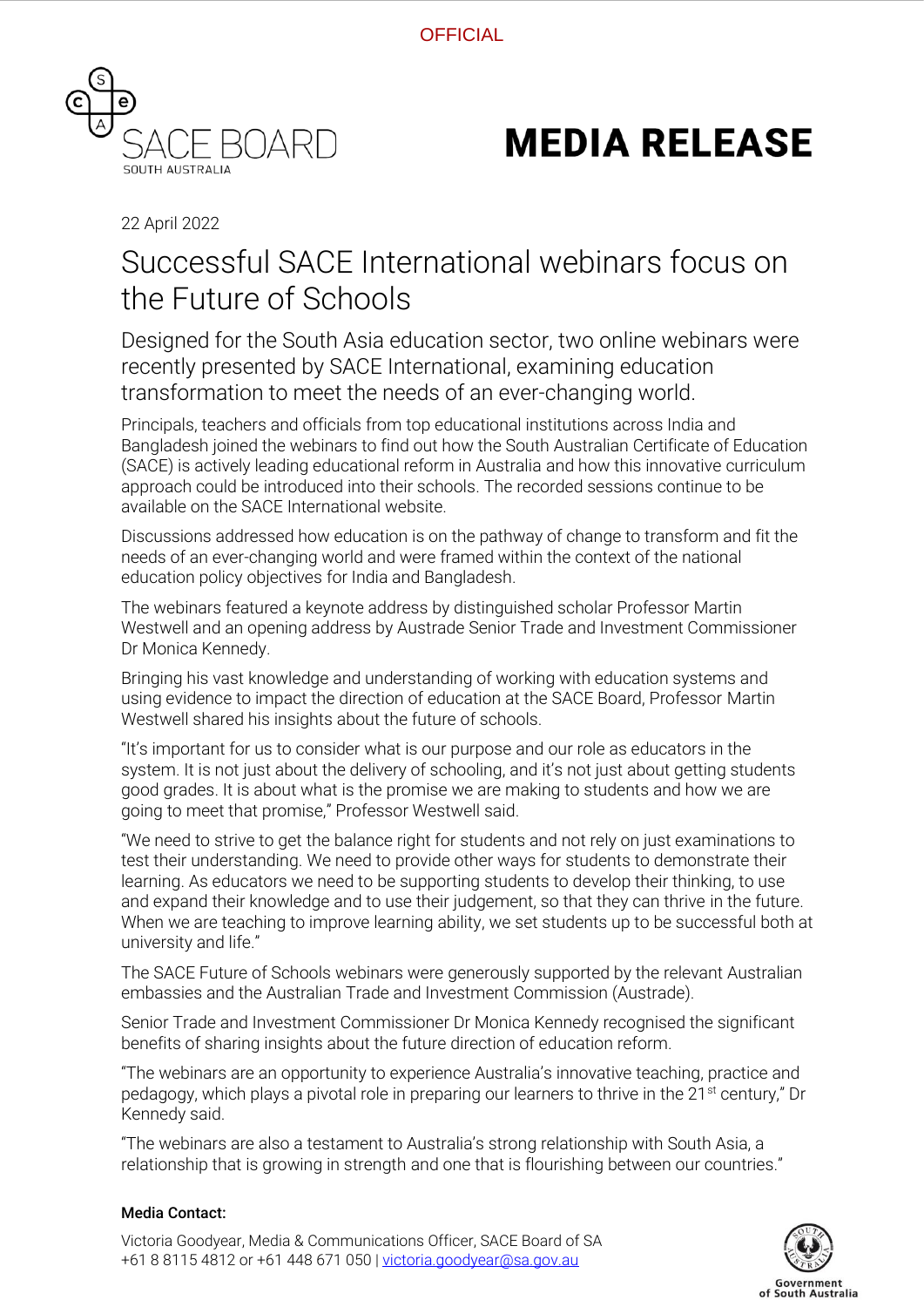

## **MEDIA RELEASE**

22 April 2022

## Successful SACE International webinars focus on the Future of Schools

Designed for the South Asia education sector, two online webinars were recently presented by SACE International, examining education transformation to meet the needs of an ever-changing world.

Principals, teachers and officials from top educational institutions across India and Bangladesh joined the webinars to find out how the South Australian Certificate of Education (SACE) is actively leading educational reform in Australia and how this innovative curriculum approach could be introduced into their schools. The recorded sessions continue to be available on the SACE International website.

Discussions addressed how education is on the pathway of change to transform and fit the needs of an ever-changing world and were framed within the context of the national education policy objectives for India and Bangladesh.

The webinars featured a keynote address by distinguished scholar Professor Martin Westwell and an opening address by Austrade Senior Trade and Investment Commissioner Dr Monica Kennedy.

Bringing his vast knowledge and understanding of working with education systems and using evidence to impact the direction of education at the SACE Board, Professor Martin Westwell shared his insights about the future of schools.

"It's important for us to consider what is our purpose and our role as educators in the system. It is not just about the delivery of schooling, and it's not just about getting students good grades. It is about what is the promise we are making to students and how we are going to meet that promise," Professor Westwell said.

"We need to strive to get the balance right for students and not rely on just examinations to test their understanding. We need to provide other ways for students to demonstrate their learning. As educators we need to be supporting students to develop their thinking, to use and expand their knowledge and to use their judgement, so that they can thrive in the future. When we are teaching to improve learning ability, we set students up to be successful both at university and life."

The SACE Future of Schools webinars were generously supported by the relevant Australian embassies and the Australian Trade and Investment Commission (Austrade).

Senior Trade and Investment Commissioner Dr Monica Kennedy recognised the significant benefits of sharing insights about the future direction of education reform.

"The webinars are an opportunity to experience Australia's innovative teaching, practice and pedagogy, which plays a pivotal role in preparing our learners to thrive in the 21<sup>st</sup> century," Dr Kennedy said.

"The webinars are also a testament to Australia's strong relationship with South Asia, a relationship that is growing in strength and one that is flourishing between our countries."

## Media Contact:

Victoria Goodyear, Media & Communications Officer, SACE Board of SA +61 8 8115 4812 or +61 448 671 050 | [victoria.goodyear@sa.gov.au](mailto:victoria.goodyear@sa.gov.au)